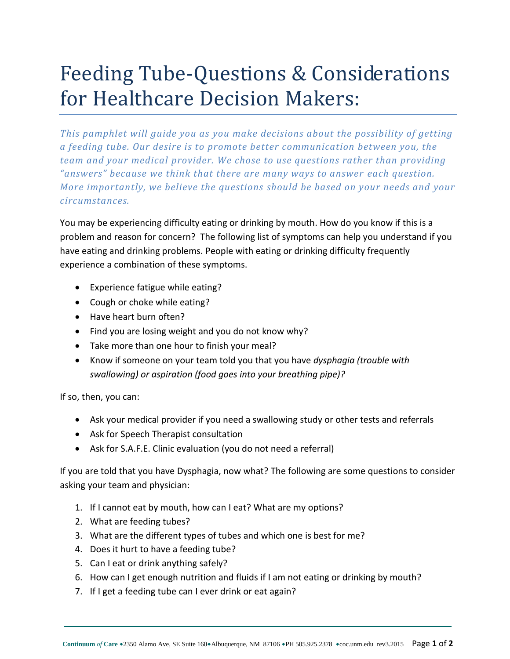## Feeding Tube-Questions & Considerations for Healthcare Decision Makers:

*This pamphlet will guide you as you make decisions about the possibility of getting a feeding tube. Our desire is to promote better communication between you, the team and your medical provider. We chose to use questions rather than providing*  "answers" because we think that there are many ways to answer each question. *More importantly, we believe the questions should be based on your needs and your circumstances.* 

You may be experiencing difficulty eating or drinking by mouth. How do you know if this is a problem and reason for concern? The following list of symptoms can help you understand if you have eating and drinking problems. People with eating or drinking difficulty frequently experience a combination of these symptoms.

- Experience fatigue while eating?
- Cough or choke while eating?
- Have heart burn often?
- Find you are losing weight and you do not know why?
- Take more than one hour to finish your meal?
- Know if someone on your team told you that you have *dysphagia (trouble with swallowing) or aspiration (food goes into your breathing pipe)?*

If so, then, you can:

- Ask your medical provider if you need a swallowing study or other tests and referrals
- Ask for Speech Therapist consultation
- Ask for S.A.F.E. Clinic evaluation (you do not need a referral)

If you are told that you have Dysphagia, now what? The following are some questions to consider asking your team and physician:

- 1. If I cannot eat by mouth, how can I eat? What are my options?
- 2. What are feeding tubes?
- 3. What are the different types of tubes and which one is best for me?
- 4. Does it hurt to have a feeding tube?
- 5. Can I eat or drink anything safely?
- 6. How can I get enough nutrition and fluids if I am not eating or drinking by mouth?
- 7. If I get a feeding tube can I ever drink or eat again?

\_\_\_\_\_\_\_\_\_\_\_\_\_\_\_\_\_\_\_\_\_\_\_\_\_\_\_\_\_\_\_\_\_\_\_\_\_\_\_\_\_\_\_\_\_\_\_\_\_\_\_\_\_\_\_\_\_\_\_\_\_\_\_\_\_\_\_\_\_\_\_\_\_\_\_\_\_\_\_\_\_\_\_\_\_